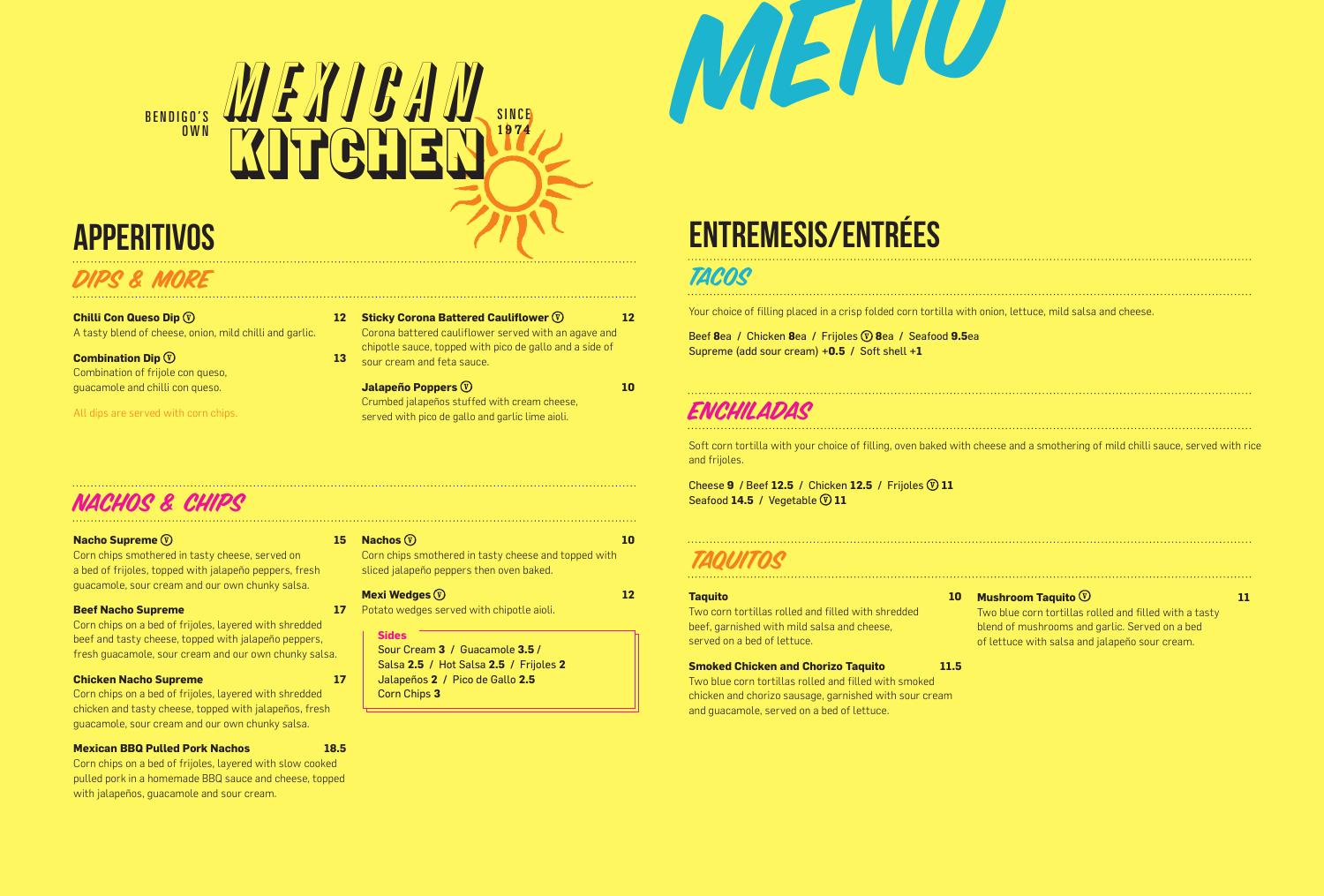

## **APPERITIVOS**

### DIPS & MORE

**Chilli Con Queso Dip**  $\overline{v}$ A tasty blend of cheese, onion, mild chilli and garlic.

**Combination Dip 13 Combination Dip 13** Combination of frijole con queso, guacamole and chilli con queso.

All dips are served with corn chips.

## NACHOS & CHIPS

### **Nacho Supreme**  $\circledR$

Corn chips smothered in tasty cheese, served on a bed of frijoles, topped with jalapeño peppers, fresh guacamole, sour cream and our own chunky salsa.

### **Beef Nacho Supreme**

Corn chips on a bed of frijoles, layered with shredded beef and tasty cheese, topped with jalapeño peppers, fresh guacamole, sour cream and our own chunky salsa.

### **Chicken Nacho Supreme 17**

Corn chips on a bed of frijoles, layered with shredded chicken and tasty cheese, topped with jalapeños, fresh guacamole, sour cream and our own chunky salsa.

### **Mexican BBQ Pulled Pork Nachos 18.5**

Corn chips on a bed of frijoles, layered with slow cooked pulled pork in a homemade BBQ sauce and cheese, topped with jalapeños, guacamole and sour cream.

### **15 Nachos 10 Nachos 10**

Corn chips smothered in tasty cheese and topped with sliced jalapeño peppers then oven baked.

**Sticky Corona Battered Cauliflower 12 Sticky Corona Battered Cauliflower** 12 Corona battered cauliflower served with an agave and chipotle sauce, topped with pico de gallo and a side of

Crumbed jalapeños stuffed with cream cheese, served with pico de gallo and garlic lime aioli.

**Jalapeño Poppers**  $\overline{v}$  **10** 

### **Mexi Wedges 12**

sour cream and feta sauce.

17 Potato wedges served with chipotle aioli.

### **Sides**

Sour Cream **3 /** Guacamole **3.5 /** Salsa **2.5 /** Hot Salsa **2.5 /** Frijoles **2** Jalapeños **2 /** Pico de Gallo **2.5** Corn Chips **3**

# ENTREMESIS/Entrées

## **TACOS**

Your choice of filling placed in a crisp folded corn tortilla with onion, lettuce, mild salsa and cheese.

Beef **8**ea **/** Chicken **8**ea **/** Frijoles **8**ea **/** Seafood **9.5**ea Supreme (add sour cream) **+0.5 /** Soft shell **+1**

MENU

## encapta de

Soft corn tortilla with your choice of filling, oven baked with cheese and a smothering of mild chilli sauce, served with rice and frijoles.

Cheese **9 /** Beef **12.5 /** Chicken **12.5 /** Frijoles **11** Seafood 14.5 / Vegetable  $\overline{v}$  11

## TAQUITOS

### **Taquito**

Two corn tortillas rolled and filled with shredded beef, garnished with mild salsa and cheese, served on a bed of lettuce.

### **Smoked Chicken and Chorizo Taquito 11.5**

Two blue corn tortillas rolled and filled with smoked chicken and chorizo sausage, garnished with sour cream and guacamole, served on a bed of lettuce.

### **10 Mushroom Taquito**  $\overline{\mathbb{V}}$  **11 11**

Two blue corn tortillas rolled and filled with a tasty blend of mushrooms and garlic. Served on a bed of lettuce with salsa and jalapeño sour cream.